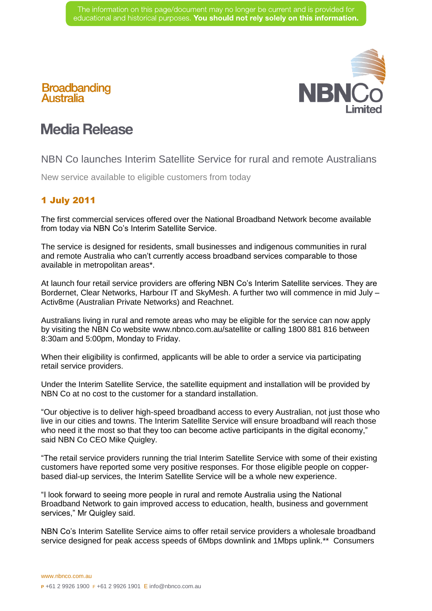# NBN

## **Media Release**

**Broadbanding** 

**Australia** 

#### NBN Co launches Interim Satellite Service for rural and remote Australians

New service available to eligible customers from today

### 1 July 2011

The first commercial services offered over the National Broadband Network become available from today via NBN Co's Interim Satellite Service.

The service is designed for residents, small businesses and indigenous communities in rural and remote Australia who can't currently access broadband services comparable to those available in metropolitan areas\*.

At launch four retail service providers are offering NBN Co's Interim Satellite services. They are Bordernet, Clear Networks, Harbour IT and SkyMesh. A further two will commence in mid July – Activ8me (Australian Private Networks) and Reachnet.

Australians living in rural and remote areas who may be eligible for the service can now apply by visiting the NBN Co website [www.nbnco.com.au/satellite](http://www.nbnco.com.au/satellite) or calling 1800 881 816 between 8:30am and 5:00pm, Monday to Friday.

When their eligibility is confirmed, applicants will be able to order a service via participating retail service providers.

Under the Interim Satellite Service, the satellite equipment and installation will be provided by NBN Co at no cost to the customer for a standard installation.

"Our objective is to deliver high-speed broadband access to every Australian, not just those who live in our cities and towns. The Interim Satellite Service will ensure broadband will reach those who need it the most so that they too can become active participants in the digital economy," said NBN Co CEO Mike Quigley.

"The retail service providers running the trial Interim Satellite Service with some of their existing customers have reported some very positive responses. For those eligible people on copperbased dial-up services, the Interim Satellite Service will be a whole new experience.

"I look forward to seeing more people in rural and remote Australia using the National Broadband Network to gain improved access to education, health, business and government services," Mr Quigley said.

NBN Co's Interim Satellite Service aims to offer retail service providers a wholesale broadband service designed for peak access speeds of 6Mbps downlink and 1Mbps uplink.\*\* Consumers

www.nbnco.com.au